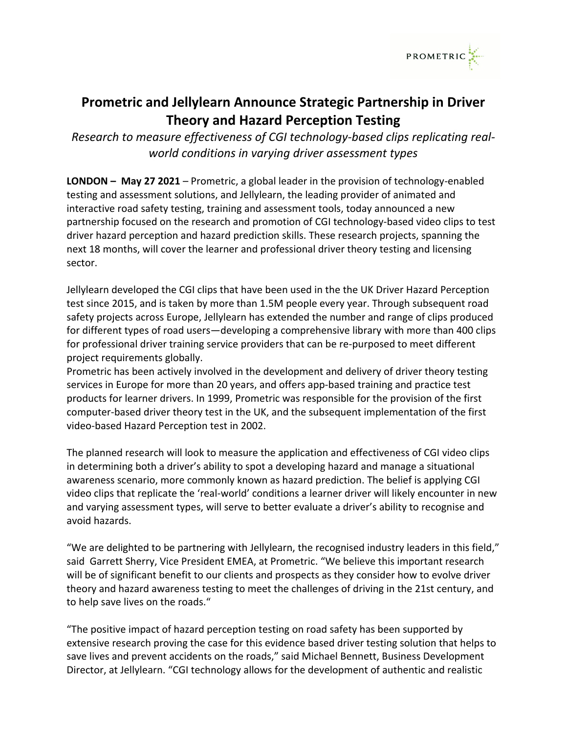

## **Prometric and Jellylearn Announce Strategic Partnership in Driver Theory and Hazard Perception Testing**

*Research to measure effectiveness of CGI technology-based clips replicating realworld conditions in varying driver assessment types*

**LONDON – May 27 2021** – Prometric, a global leader in the provision of technology-enabled testing and assessment solutions, and Jellylearn, the leading provider of animated and interactive road safety testing, training and assessment tools, today announced a new partnership focused on the research and promotion of CGI technology-based video clips to test driver hazard perception and hazard prediction skills. These research projects, spanning the next 18 months, will cover the learner and professional driver theory testing and licensing sector.

Jellylearn developed the CGI clips that have been used in the the UK Driver Hazard Perception test since 2015, and is taken by more than 1.5M people every year. Through subsequent road safety projects across Europe, Jellylearn has extended the number and range of clips produced for different types of road users—developing a comprehensive library with more than 400 clips for professional driver training service providers that can be re-purposed to meet different project requirements globally.

Prometric has been actively involved in the development and delivery of driver theory testing services in Europe for more than 20 years, and offers app-based training and practice test products for learner drivers. In 1999, Prometric was responsible for the provision of the first computer-based driver theory test in the UK, and the subsequent implementation of the first video-based Hazard Perception test in 2002.

The planned research will look to measure the application and effectiveness of CGI video clips in determining both a driver's ability to spot a developing hazard and manage a situational awareness scenario, more commonly known as hazard prediction. The belief is applying CGI video clips that replicate the 'real-world' conditions a learner driver will likely encounter in new and varying assessment types, will serve to better evaluate a driver's ability to recognise and avoid hazards.

"We are delighted to be partnering with Jellylearn, the recognised industry leaders in this field," said Garrett Sherry, Vice President EMEA, at Prometric. "We believe this important research will be of significant benefit to our clients and prospects as they consider how to evolve driver theory and hazard awareness testing to meet the challenges of driving in the 21st century, and to help save lives on the roads."

"The positive impact of hazard perception testing on road safety has been supported by extensive research proving the case for this evidence based driver testing solution that helps to save lives and prevent accidents on the roads," said Michael Bennett, Business Development Director, at Jellylearn. "CGI technology allows for the development of authentic and realistic